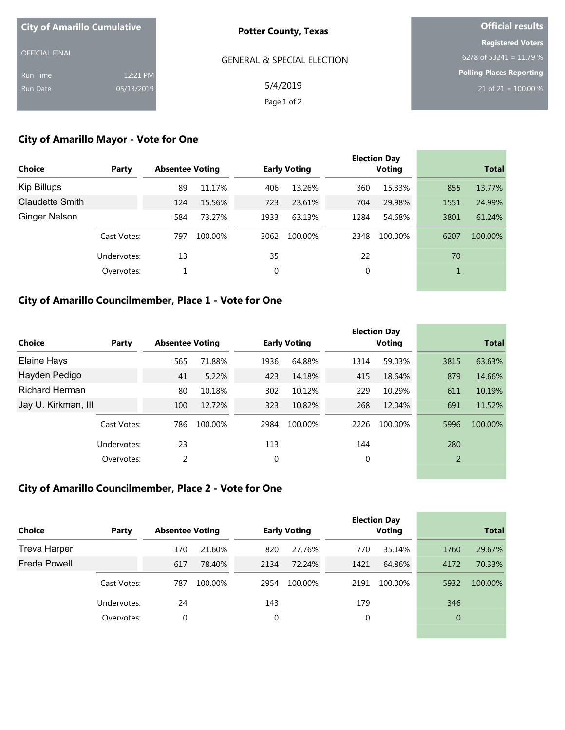| <b>City of Amarillo Cumulative</b> |            | <b>Potter County, Texas</b>           | <b>Official results</b>         |  |  |
|------------------------------------|------------|---------------------------------------|---------------------------------|--|--|
|                                    |            |                                       | <b>Registered Voters</b>        |  |  |
| <b>OFFICIAL FINAL</b>              |            | <b>GENERAL &amp; SPECIAL ELECTION</b> | 6278 of 53241 = 11.79 %         |  |  |
| Run Time                           | 12:21 PM   |                                       | <b>Polling Places Reporting</b> |  |  |
| Run Date                           | 05/13/2019 | 5/4/2019                              | 21 of 21 = $100.00\%$           |  |  |
|                                    |            | Page 1 of 2                           |                                 |  |  |

## **City of Amarillo Mayor - Vote for One**

| <b>Choice</b>          | Party       | <b>Absentee Voting</b> |         |      | <b>Early Voting</b> |      | <b>Election Day</b><br><b>Voting</b> |      | <b>Total</b> |
|------------------------|-------------|------------------------|---------|------|---------------------|------|--------------------------------------|------|--------------|
|                        |             |                        |         |      |                     |      |                                      |      |              |
| Kip Billups            |             | 89                     | 11.17%  | 406  | 13.26%              | 360  | 15.33%                               | 855  | 13.77%       |
| <b>Claudette Smith</b> |             | 124                    | 15.56%  | 723  | 23.61%              | 704  | 29.98%                               | 1551 | 24.99%       |
| <b>Ginger Nelson</b>   |             | 584                    | 73.27%  | 1933 | 63.13%              | 1284 | 54.68%                               | 3801 | 61.24%       |
|                        | Cast Votes: | 797                    | 100.00% | 3062 | 100.00%             | 2348 | 100.00%                              | 6207 | 100.00%      |
|                        | Undervotes: | 13                     |         | 35   |                     | 22   |                                      | 70   |              |
|                        | Overvotes:  |                        |         | 0    |                     | 0    |                                      | 1    |              |
|                        |             |                        |         |      |                     |      |                                      |      |              |

### **City of Amarillo Councilmember, Place 1 - Vote for One**

|                       |             |                        |         |      |                     |      | <b>Election Day</b> |                | <b>Total</b> |
|-----------------------|-------------|------------------------|---------|------|---------------------|------|---------------------|----------------|--------------|
| Choice                | Party       | <b>Absentee Voting</b> |         |      | <b>Early Voting</b> |      | Voting              |                |              |
| Elaine Hays           |             | 565                    | 71.88%  | 1936 | 64.88%              | 1314 | 59.03%              | 3815           | 63.63%       |
| Hayden Pedigo         |             | 41                     | 5.22%   | 423  | 14.18%              | 415  | 18.64%              | 879            | 14.66%       |
| <b>Richard Herman</b> |             | 80                     | 10.18%  | 302  | 10.12%              | 229  | 10.29%              | 611            | 10.19%       |
| Jay U. Kirkman, III   |             | 100                    | 12.72%  | 323  | 10.82%              | 268  | 12.04%              | 691            | 11.52%       |
|                       | Cast Votes: | 786                    | 100.00% | 2984 | 100.00%             | 2226 | 100.00%             | 5996           | 100.00%      |
|                       | Undervotes: | 23                     |         | 113  |                     | 144  |                     | 280            |              |
|                       | Overvotes:  | 2                      |         | 0    |                     | 0    |                     | $\overline{2}$ |              |

## **City of Amarillo Councilmember, Place 2 - Vote for One**

| Party       |     |         |                        |         |                     | <b>Voting</b> |                     | <b>Total</b> |
|-------------|-----|---------|------------------------|---------|---------------------|---------------|---------------------|--------------|
|             | 170 | 21.60%  | 820                    | 27.76%  | 770                 | 35.14%        | 1760                | 29.67%       |
|             | 617 | 78.40%  | 2134                   | 72.24%  | 1421                | 64.86%        | 4172                | 70.33%       |
| Cast Votes: | 787 | 100.00% | 2954                   | 100.00% | 2191                | 100.00%       | 5932                | 100.00%      |
| Undervotes: | 24  |         | 143                    |         | 179                 |               | 346                 |              |
| Overvotes:  | 0   |         | 0                      |         | 0                   |               | $\mathbf 0$         |              |
|             |     |         | <b>Absentee Voting</b> |         | <b>Early Voting</b> |               | <b>Election Day</b> |              |